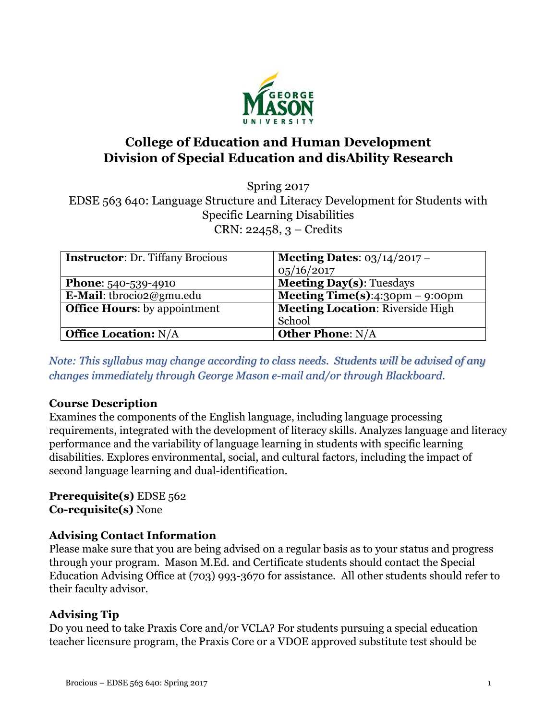

# **College of Education and Human Development Division of Special Education and disAbility Research**

Spring 2017 EDSE 563 640: Language Structure and Literacy Development for Students with Specific Learning Disabilities CRN: 22458, 3 – Credits

| <b>Instructor: Dr. Tiffany Brocious</b> | <b>Meeting Dates: 03/14/2017 –</b>      |
|-----------------------------------------|-----------------------------------------|
|                                         | 05/16/2017                              |
| <b>Phone:</b> 540-539-4910              | <b>Meeting Day(s): Tuesdays</b>         |
| E-Mail: tbrocio2@gmu.edu                | Meeting Time(s): $4:30$ pm – 9:00pm     |
| <b>Office Hours:</b> by appointment     | <b>Meeting Location: Riverside High</b> |
|                                         | School                                  |
| <b>Office Location: N/A</b>             | <b>Other Phone: N/A</b>                 |

*Note: This syllabus may change according to class needs. Students will be advised of any changes immediately through George Mason e-mail and/or through Blackboard.*

### **Course Description**

Examines the components of the English language, including language processing requirements, integrated with the development of literacy skills. Analyzes language and literacy performance and the variability of language learning in students with specific learning disabilities. Explores environmental, social, and cultural factors, including the impact of second language learning and dual-identification.

**Prerequisite(s)** EDSE 562 **Co-requisite(s)** None

### **Advising Contact Information**

Please make sure that you are being advised on a regular basis as to your status and progress through your program. Mason M.Ed. and Certificate students should contact the Special Education Advising Office at (703) 993-3670 for assistance. All other students should refer to their faculty advisor.

### **Advising Tip**

Do you need to take Praxis Core and/or VCLA? For students pursuing a special education teacher licensure program, the Praxis Core or a VDOE approved substitute test should be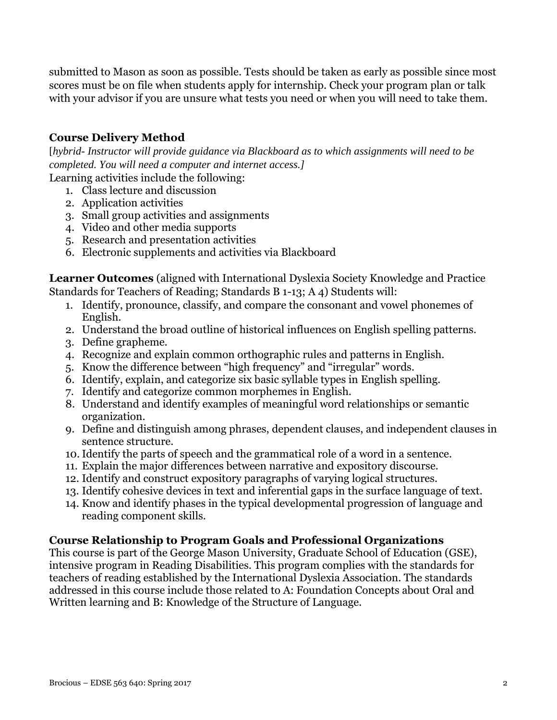submitted to Mason as soon as possible. Tests should be taken as early as possible since most scores must be on file when students apply for internship. Check your program plan or talk with your advisor if you are unsure what tests you need or when you will need to take them.

## **Course Delivery Method**

[*hybrid- Instructor will provide guidance via Blackboard as to which assignments will need to be completed. You will need a computer and internet access.]*

Learning activities include the following:

- 1. Class lecture and discussion
- 2. Application activities
- 3. Small group activities and assignments
- 4. Video and other media supports
- 5. Research and presentation activities
- 6. Electronic supplements and activities via Blackboard

**Learner Outcomes** (aligned with International Dyslexia Society Knowledge and Practice Standards for Teachers of Reading; Standards B 1-13; A 4) Students will:

- 1. Identify, pronounce, classify, and compare the consonant and vowel phonemes of English.
- 2. Understand the broad outline of historical influences on English spelling patterns.
- 3. Define grapheme.
- 4. Recognize and explain common orthographic rules and patterns in English.
- 5. Know the difference between "high frequency" and "irregular" words.
- 6. Identify, explain, and categorize six basic syllable types in English spelling.
- 7. Identify and categorize common morphemes in English.
- 8. Understand and identify examples of meaningful word relationships or semantic organization.
- 9. Define and distinguish among phrases, dependent clauses, and independent clauses in sentence structure.
- 10.Identify the parts of speech and the grammatical role of a word in a sentence.
- 11. Explain the major differences between narrative and expository discourse.
- 12. Identify and construct expository paragraphs of varying logical structures.
- 13. Identify cohesive devices in text and inferential gaps in the surface language of text.
- 14. Know and identify phases in the typical developmental progression of language and reading component skills.

#### **Course Relationship to Program Goals and Professional Organizations**

This course is part of the George Mason University, Graduate School of Education (GSE), intensive program in Reading Disabilities. This program complies with the standards for teachers of reading established by the International Dyslexia Association. The standards addressed in this course include those related to A: Foundation Concepts about Oral and Written learning and B: Knowledge of the Structure of Language.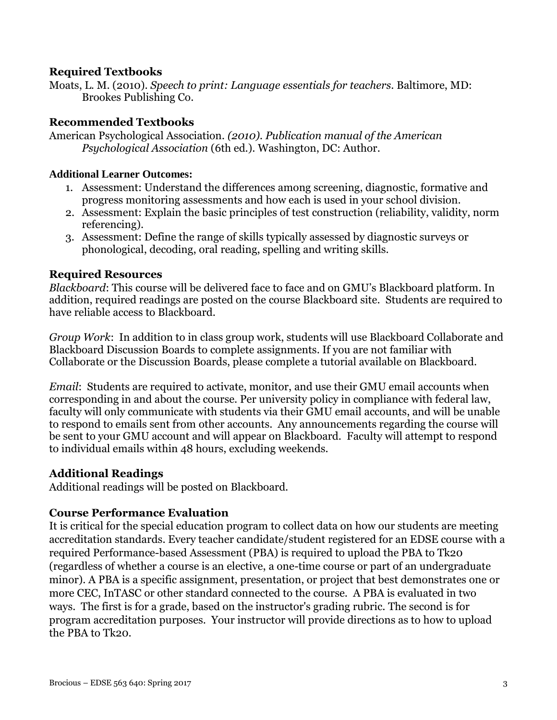#### **Required Textbooks**

Moats, L. M. (2010). *Speech to print: Language essentials for teachers*. Baltimore, MD: Brookes Publishing Co.

#### **Recommended Textbooks**

American Psychological Association*. (2010). Publication manual of the American Psychological Association* (6th ed.). Washington, DC: Author.

#### **Additional Learner Outcomes:**

- 1. Assessment: Understand the differences among screening, diagnostic, formative and progress monitoring assessments and how each is used in your school division.
- 2. Assessment: Explain the basic principles of test construction (reliability, validity, norm referencing).
- 3. Assessment: Define the range of skills typically assessed by diagnostic surveys or phonological, decoding, oral reading, spelling and writing skills.

#### **Required Resources**

*Blackboard*: This course will be delivered face to face and on GMU's Blackboard platform. In addition, required readings are posted on the course Blackboard site. Students are required to have reliable access to Blackboard.

*Group Work*: In addition to in class group work, students will use Blackboard Collaborate and Blackboard Discussion Boards to complete assignments. If you are not familiar with Collaborate or the Discussion Boards, please complete a tutorial available on Blackboard.

*Email*: Students are required to activate, monitor, and use their GMU email accounts when corresponding in and about the course. Per university policy in compliance with federal law, faculty will only communicate with students via their GMU email accounts, and will be unable to respond to emails sent from other accounts. Any announcements regarding the course will be sent to your GMU account and will appear on Blackboard. Faculty will attempt to respond to individual emails within 48 hours, excluding weekends.

#### **Additional Readings**

Additional readings will be posted on Blackboard.

#### **Course Performance Evaluation**

It is critical for the special education program to collect data on how our students are meeting accreditation standards. Every teacher candidate/student registered for an EDSE course with a required Performance-based Assessment (PBA) is required to upload the PBA to Tk20 (regardless of whether a course is an elective, a one-time course or part of an undergraduate minor). A PBA is a specific assignment, presentation, or project that best demonstrates one or more CEC, InTASC or other standard connected to the course. A PBA is evaluated in two ways. The first is for a grade, based on the instructor's grading rubric. The second is for program accreditation purposes. Your instructor will provide directions as to how to upload the PBA to Tk20.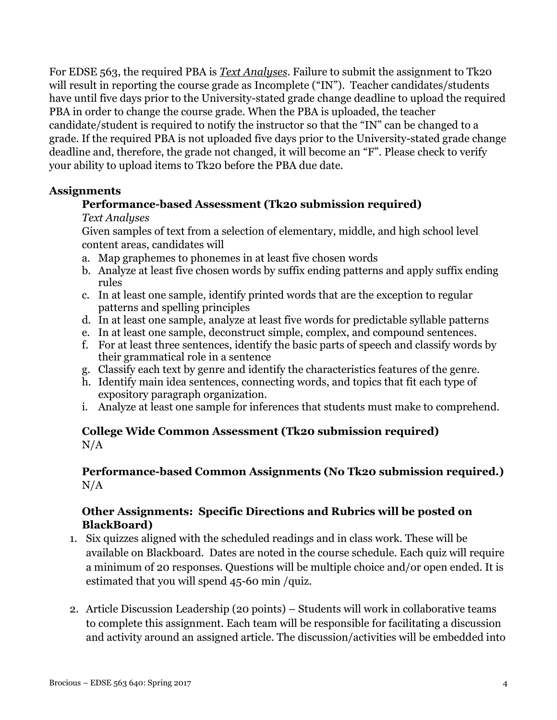For EDSE 563, the required PBA is *Text Analyses*. Failure to submit the assignment to Tk20 will result in reporting the course grade as Incomplete ("IN"). Teacher candidates/students have until five days prior to the University-stated grade change deadline to upload the required PBA in order to change the course grade. When the PBA is uploaded, the teacher candidate/student is required to notify the instructor so that the "IN" can be changed to a grade. If the required PBA is not uploaded five days prior to the University-stated grade change deadline and, therefore, the grade not changed, it will become an "F". Please check to verify your ability to upload items to Tk20 before the PBA due date.

### **Assignments**

### **Performance-based Assessment (Tk20 submission required)**

#### *Text Analyses*

Given samples of text from a selection of elementary, middle, and high school level content areas, candidates will

- a. Map graphemes to phonemes in at least five chosen words
- b. Analyze at least five chosen words by suffix ending patterns and apply suffix ending rules
- c. In at least one sample, identify printed words that are the exception to regular patterns and spelling principles
- d. In at least one sample, analyze at least five words for predictable syllable patterns
- e. In at least one sample, deconstruct simple, complex, and compound sentences.
- f. For at least three sentences, identify the basic parts of speech and classify words by their grammatical role in a sentence
- g. Classify each text by genre and identify the characteristics features of the genre.
- h. Identify main idea sentences, connecting words, and topics that fit each type of expository paragraph organization.
- i. Analyze at least one sample for inferences that students must make to comprehend.

### **College Wide Common Assessment (Tk20 submission required)** N/A

### **Performance-based Common Assignments (No Tk20 submission required.)**  $N/A$

### **Other Assignments: Specific Directions and Rubrics will be posted on BlackBoard)**

- 1. Six quizzes aligned with the scheduled readings and in class work. These will be available on Blackboard. Dates are noted in the course schedule. Each quiz will require a minimum of 20 responses. Questions will be multiple choice and/or open ended. It is estimated that you will spend 45-60 min /quiz.
- 2. Article Discussion Leadership (20 points) Students will work in collaborative teams to complete this assignment. Each team will be responsible for facilitating a discussion and activity around an assigned article. The discussion/activities will be embedded into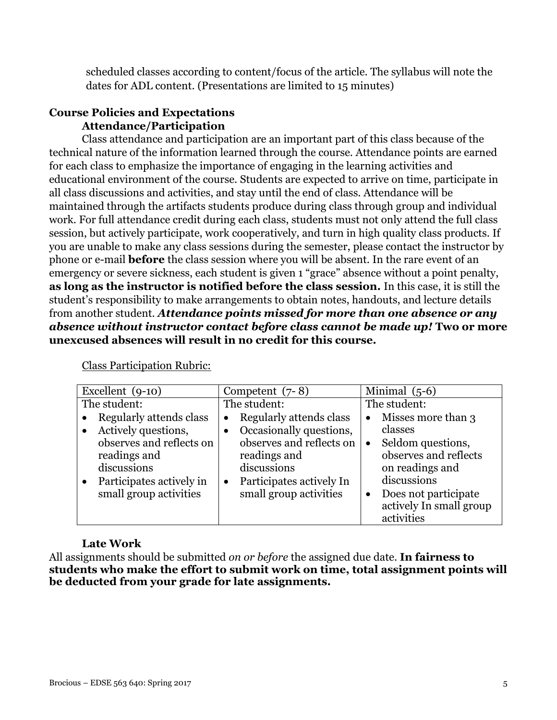scheduled classes according to content/focus of the article. The syllabus will note the dates for ADL content. (Presentations are limited to 15 minutes)

## **Course Policies and Expectations Attendance/Participation**

Class attendance and participation are an important part of this class because of the technical nature of the information learned through the course. Attendance points are earned for each class to emphasize the importance of engaging in the learning activities and educational environment of the course. Students are expected to arrive on time, participate in all class discussions and activities, and stay until the end of class. Attendance will be maintained through the artifacts students produce during class through group and individual work. For full attendance credit during each class, students must not only attend the full class session, but actively participate, work cooperatively, and turn in high quality class products. If you are unable to make any class sessions during the semester, please contact the instructor by phone or e-mail **before** the class session where you will be absent. In the rare event of an emergency or severe sickness, each student is given 1 "grace" absence without a point penalty, **as long as the instructor is notified before the class session.** In this case, it is still the student's responsibility to make arrangements to obtain notes, handouts, and lecture details from another student. *Attendance points missed for more than one absence or any absence without instructor contact before class cannot be made up!* **Two or more unexcused absences will result in no credit for this course.**

| Excellent (9-10)                      | Competent $(7-8)$                     | Minimal $(5-6)$                 |
|---------------------------------------|---------------------------------------|---------------------------------|
| The student:                          | The student:                          | The student:                    |
| Regularly attends class               | Regularly attends class<br>$\bullet$  | Misses more than 3<br>$\bullet$ |
| Actively questions,<br>$\bullet$      | Occasionally questions,               | classes                         |
| observes and reflects on              | observes and reflects on              | Seldom questions,<br>$\bullet$  |
| readings and                          | readings and                          | observes and reflects           |
| discussions                           | discussions                           | on readings and                 |
| Participates actively in<br>$\bullet$ | Participates actively In<br>$\bullet$ | discussions                     |
| small group activities                | small group activities                | Does not participate            |
|                                       |                                       | actively In small group         |
|                                       |                                       | activities                      |

Class Participation Rubric:

### **Late Work**

All assignments should be submitted *on or before* the assigned due date. **In fairness to students who make the effort to submit work on time, total assignment points will be deducted from your grade for late assignments.**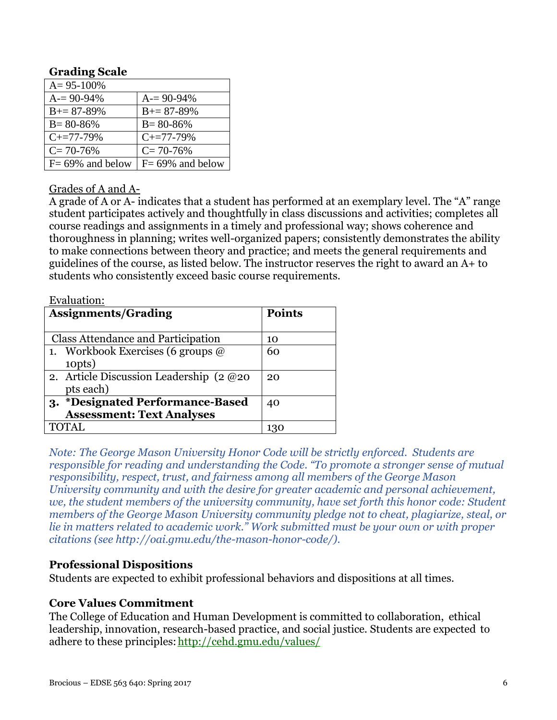#### **Grading Scale**

| $A = 95 - 100\%$     |                      |
|----------------------|----------------------|
| $A = 90 - 94\%$      | $A = 90 - 94\%$      |
| $B+=87-89\%$         | $B+=87-89\%$         |
| $B = 80 - 86\%$      | $B = 80 - 86\%$      |
| $C+=77-79%$          | $C+=77-79%$          |
| $C = 70-76%$         | $C = 70-76%$         |
| $F = 69\%$ and below | $F = 69\%$ and below |

#### Grades of A and A-

A grade of A or A- indicates that a student has performed at an exemplary level. The "A" range student participates actively and thoughtfully in class discussions and activities; completes all course readings and assignments in a timely and professional way; shows coherence and thoroughness in planning; writes well-organized papers; consistently demonstrates the ability to make connections between theory and practice; and meets the general requirements and guidelines of the course, as listed below. The instructor reserves the right to award an A+ to students who consistently exceed basic course requirements.

| Evaluation:                                      |               |
|--------------------------------------------------|---------------|
| <b>Assignments/Grading</b>                       | <b>Points</b> |
|                                                  |               |
| <b>Class Attendance and Participation</b>        | 10            |
| 1. Workbook Exercises (6 groups $\omega$         | 60            |
| 10pts)                                           |               |
| 2. Article Discussion Leadership $(2 \omega)$ 20 | 20            |
| pts each)                                        |               |
| 3. *Designated Performance-Based                 | 40            |
| <b>Assessment: Text Analyses</b>                 |               |
|                                                  | 130           |

*Note: The George Mason University Honor Code will be strictly enforced. Students are responsible for reading and understanding the Code. "To promote a stronger sense of mutual responsibility, respect, trust, and fairness among all members of the George Mason University community and with the desire for greater academic and personal achievement, we, the student members of the university community, have set forth this honor code: Student members of the George Mason University community pledge not to cheat, plagiarize, steal, or lie in matters related to academic work." Work submitted must be your own or with proper citations (see http://oai.gmu.edu/the-mason-honor-code/).*

### **Professional Dispositions**

Students are expected to exhibit professional behaviors and dispositions at all times.

### **Core Values Commitment**

The College of Education and Human Development is committed to collaboration, ethical leadership, innovation, research-based practice, and social justice. Students are expected to adhere to these principles:<http://cehd.gmu.edu/values/>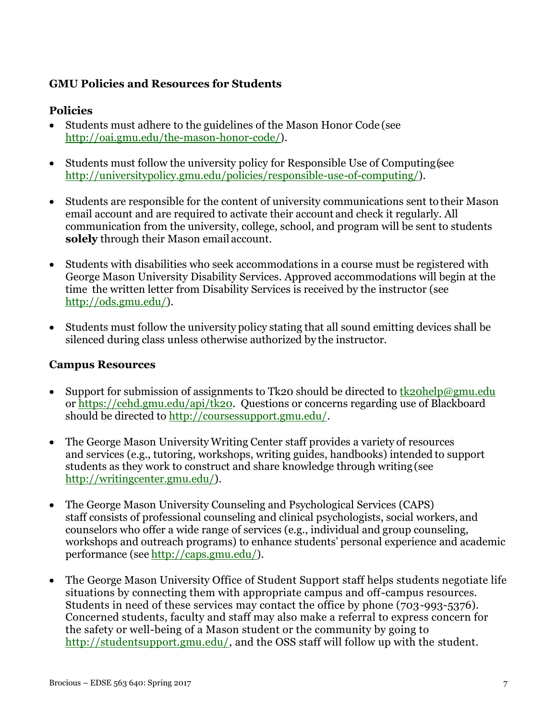# **GMU Policies and Resources for Students**

### **Policies**

- Students must adhere to the guidelines of the Mason Honor Code (see [http://oai.gmu.edu/the-mason-honor-code/\)](http://oai.gmu.edu/the-mason-honor-code/).
- Students must follow the university policy for Responsible Use of Computing(see [http://universitypolicy.gmu.edu/policies/responsible-use-of-computing/\)](http://universitypolicy.gmu.edu/policies/responsible-use-of-computing/).
- Students are responsible for the content of university communications sent to their Mason email account and are required to activate their account and check it regularly. All communication from the university, college, school, and program will be sent to students **solely** through their Mason email account.
- Students with disabilities who seek accommodations in a course must be registered with George Mason University Disability Services. Approved accommodations will begin at the time the written letter from Disability Services is received by the instructor (see [http://ods.gmu.edu/\)](http://ods.gmu.edu/).
- Students must follow the university policy stating that all sound emitting devices shall be silenced during class unless otherwise authorized by the instructor.

### **Campus Resources**

- Support for submission of assignments to Tk20 should be directed to  $tk20$ help@gmu.edu or [https://cehd.gmu.edu/api/tk20.](https://cehd.gmu.edu/api/tk20) Questions or concerns regarding use of Blackboard should be directed to [http://coursessupport.gmu.edu/.](http://coursessupport.gmu.edu/)
- The George Mason University Writing Center staff provides a variety of resources and services (e.g., tutoring, workshops, writing guides, handbooks) intended to support students as they work to construct and share knowledge through writing (see [http://writingcenter.gmu.edu/\)](http://writingcenter.gmu.edu/).
- The George Mason University Counseling and Psychological Services (CAPS) staff consists of professional counseling and clinical psychologists, social workers, and counselors who offer a wide range of services (e.g., individual and group counseling, workshops and outreach programs) to enhance students' personal experience and academic performance (see [http://caps.gmu.edu/\)](http://caps.gmu.edu/).
- The George Mason University Office of Student Support staff helps students negotiate life situations by connecting them with appropriate campus and off-campus resources. Students in need of these services may contact the office by phone (703-993-5376). Concerned students, faculty and staff may also make a referral to express concern for the safety or well-being of a Mason student or the community by going to [http://studentsupport.gmu.edu/,](http://studentsupport.gmu.edu/) and the OSS staff will follow up with the student.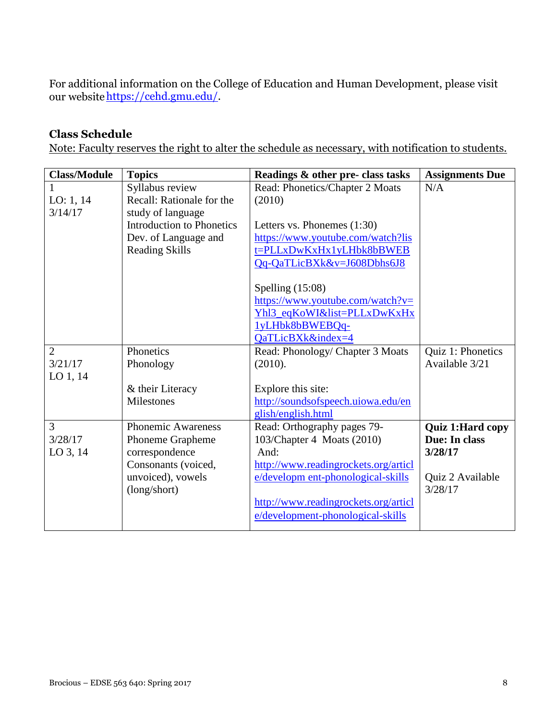For additional information on the College of Education and Human Development, please visit our websit[ehttps://cehd.gmu.edu/.](https://cehd.gmu.edu/)

### **Class Schedule**

Note: Faculty reserves the right to alter the schedule as necessary, with notification to students.

| <b>Class/Module</b> | <b>Topics</b>                    | Readings & other pre- class tasks          | <b>Assignments Due</b>  |
|---------------------|----------------------------------|--------------------------------------------|-------------------------|
|                     | Syllabus review                  | Read: Phonetics/Chapter 2 Moats            | N/A                     |
| LO: $1, 14$         | Recall: Rationale for the        | (2010)                                     |                         |
| 3/14/17             | study of language                |                                            |                         |
|                     | <b>Introduction to Phonetics</b> | Letters vs. Phonemes $(1:30)$              |                         |
|                     | Dev. of Language and             | https://www.youtube.com/watch?lis          |                         |
|                     | <b>Reading Skills</b>            | t=PLLxDwKxHx1yLHbk8bBWEB                   |                         |
|                     |                                  | Qq-QaTLicBXk&v=J608Dbhs6J8                 |                         |
|                     |                                  | Spelling $(15:08)$                         |                         |
|                     |                                  | $\frac{https://www.voutube.com/watch?v=}{$ |                         |
|                     |                                  | Yhl3_eqKoWI&list=PLLxDwKxHx                |                         |
|                     |                                  | 1yLHbk8bBWEBQq-                            |                         |
|                     |                                  | QaTLicBXk&index=4                          |                         |
| $\overline{2}$      | Phonetics                        | Read: Phonology/ Chapter 3 Moats           | Quiz 1: Phonetics       |
| 3/21/17             | Phonology                        | (2010).                                    | Available 3/21          |
| $LO$ 1, 14          |                                  |                                            |                         |
|                     | & their Literacy                 | Explore this site:                         |                         |
|                     | <b>Milestones</b>                | http://soundsofspeech.uiowa.edu/en         |                         |
|                     |                                  | glish/english.html                         |                         |
| 3                   | <b>Phonemic Awareness</b>        | Read: Orthography pages 79-                | <b>Quiz 1:Hard copy</b> |
| 3/28/17             | Phoneme Grapheme                 | 103/Chapter 4 Moats (2010)                 | Due: In class           |
| LO 3, 14            | correspondence                   | And:                                       | 3/28/17                 |
|                     | Consonants (voiced,              | http://www.readingrockets.org/articl       |                         |
|                     | unvoiced), vowels                | e/developm ent-phonological-skills         | Quiz 2 Available        |
|                     | (long/short)                     |                                            | 3/28/17                 |
|                     |                                  | http://www.readingrockets.org/articl       |                         |
|                     |                                  | e/development-phonological-skills          |                         |
|                     |                                  |                                            |                         |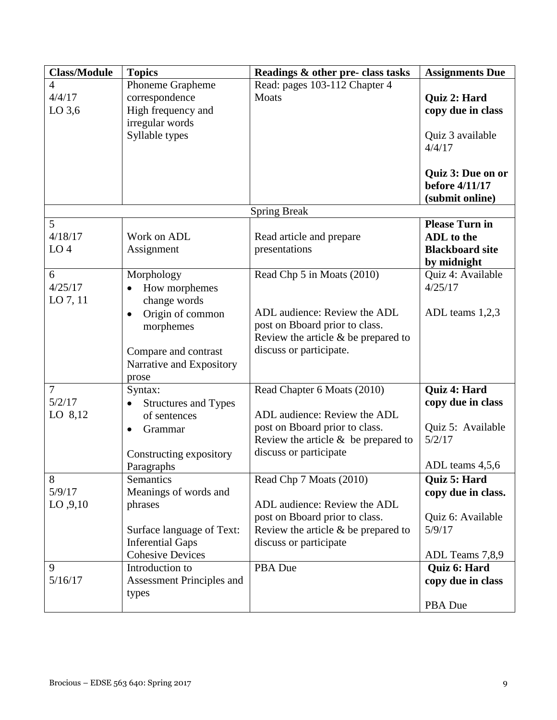| <b>Class/Module</b>             | <b>Topics</b>                                                                                                                    | Readings & other pre- class tasks                                                                                                                                 | <b>Assignments Due</b>                                                                                                           |
|---------------------------------|----------------------------------------------------------------------------------------------------------------------------------|-------------------------------------------------------------------------------------------------------------------------------------------------------------------|----------------------------------------------------------------------------------------------------------------------------------|
| 4<br>4/4/17<br>$LO$ 3,6         | Phoneme Grapheme<br>correspondence<br>High frequency and<br>irregular words<br>Syllable types                                    | Read: pages 103-112 Chapter 4<br>Moats                                                                                                                            | <b>Quiz 2: Hard</b><br>copy due in class<br>Quiz 3 available<br>4/4/17<br>Quiz 3: Due on or<br>before 4/11/17<br>(submit online) |
|                                 |                                                                                                                                  | <b>Spring Break</b>                                                                                                                                               |                                                                                                                                  |
| 5<br>4/18/17<br>LO <sub>4</sub> | Work on ADL<br>Assignment                                                                                                        | Read article and prepare<br>presentations                                                                                                                         | <b>Please Turn in</b><br>ADL to the<br><b>Blackboard site</b><br>by midnight                                                     |
| 6<br>4/25/17<br>LO 7, 11        | Morphology<br>How morphemes<br>change words                                                                                      | Read Chp 5 in Moats (2010)                                                                                                                                        | Quiz 4: Available<br>4/25/17                                                                                                     |
|                                 | Origin of common<br>$\bullet$<br>morphemes<br>Compare and contrast<br>Narrative and Expository<br>prose                          | ADL audience: Review the ADL<br>post on Bboard prior to class.<br>Review the article $\&$ be prepared to<br>discuss or participate.                               | ADL teams 1,2,3                                                                                                                  |
| 7<br>5/2/17<br>LO 8,12          | Syntax:<br><b>Structures and Types</b><br>of sentences<br>Grammar<br>$\bullet$<br>Constructing expository<br>Paragraphs          | Read Chapter 6 Moats (2010)<br>ADL audience: Review the ADL<br>post on Bboard prior to class.<br>Review the article $\&$ be prepared to<br>discuss or participate | Quiz 4: Hard<br>copy due in class<br>Quiz 5: Available<br>5/2/17<br>ADL teams 4,5,6                                              |
| 8<br>5/9/17<br>LO, 9, 10        | Semantics<br>Meanings of words and<br>phrases<br>Surface language of Text:<br><b>Inferential Gaps</b><br><b>Cohesive Devices</b> | Read Chp 7 Moats (2010)<br>ADL audience: Review the ADL<br>post on Bboard prior to class.<br>Review the article $\&$ be prepared to<br>discuss or participate     | Quiz 5: Hard<br>copy due in class.<br>Quiz 6: Available<br>5/9/17<br>ADL Teams 7,8,9                                             |
| 9<br>5/16/17                    | Introduction to<br>Assessment Principles and<br>types                                                                            | PBA Due                                                                                                                                                           | Quiz 6: Hard<br>copy due in class<br>PBA Due                                                                                     |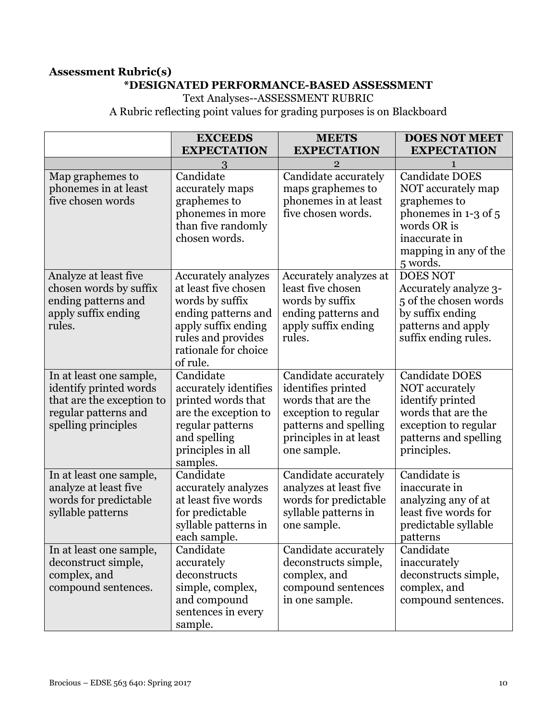## **Assessment Rubric(s) \*DESIGNATED PERFORMANCE-BASED ASSESSMENT**

Text Analyses--ASSESSMENT RUBRIC A Rubric reflecting point values for grading purposes is on Blackboard

|                                                                                                                               | <b>EXCEEDS</b>                                                                                                                                                                | <b>MEETS</b>                                                                                                                                               | <b>DOES NOT MEET</b>                                                                                                                                     |
|-------------------------------------------------------------------------------------------------------------------------------|-------------------------------------------------------------------------------------------------------------------------------------------------------------------------------|------------------------------------------------------------------------------------------------------------------------------------------------------------|----------------------------------------------------------------------------------------------------------------------------------------------------------|
|                                                                                                                               | <b>EXPECTATION</b>                                                                                                                                                            | <b>EXPECTATION</b>                                                                                                                                         | <b>EXPECTATION</b>                                                                                                                                       |
|                                                                                                                               | 3                                                                                                                                                                             | $\overline{2}$                                                                                                                                             | 1                                                                                                                                                        |
| Map graphemes to<br>phonemes in at least<br>five chosen words                                                                 | Candidate<br>accurately maps<br>graphemes to<br>phonemes in more<br>than five randomly<br>chosen words.                                                                       | Candidate accurately<br>maps graphemes to<br>phonemes in at least<br>five chosen words.                                                                    | <b>Candidate DOES</b><br>NOT accurately map<br>graphemes to<br>phonemes in 1-3 of 5<br>words OR is<br>inaccurate in<br>mapping in any of the<br>5 words. |
| Analyze at least five<br>chosen words by suffix<br>ending patterns and<br>apply suffix ending<br>rules.                       | <b>Accurately analyzes</b><br>at least five chosen<br>words by suffix<br>ending patterns and<br>apply suffix ending<br>rules and provides<br>rationale for choice<br>of rule. | Accurately analyzes at<br>least five chosen<br>words by suffix<br>ending patterns and<br>apply suffix ending<br>rules.                                     | <b>DOES NOT</b><br>Accurately analyze 3-<br>5 of the chosen words<br>by suffix ending<br>patterns and apply<br>suffix ending rules.                      |
| In at least one sample,<br>identify printed words<br>that are the exception to<br>regular patterns and<br>spelling principles | Candidate<br>accurately identifies<br>printed words that<br>are the exception to<br>regular patterns<br>and spelling<br>principles in all<br>samples.                         | Candidate accurately<br>identifies printed<br>words that are the<br>exception to regular<br>patterns and spelling<br>principles in at least<br>one sample. | <b>Candidate DOES</b><br>NOT accurately<br>identify printed<br>words that are the<br>exception to regular<br>patterns and spelling<br>principles.        |
| In at least one sample,<br>analyze at least five<br>words for predictable<br>syllable patterns                                | Candidate<br>accurately analyzes<br>at least five words<br>for predictable<br>syllable patterns in<br>each sample.                                                            | Candidate accurately<br>analyzes at least five<br>words for predictable<br>syllable patterns in<br>one sample.                                             | Candidate is<br>inaccurate in<br>analyzing any of at<br>least five words for<br>predictable syllable<br>patterns                                         |
| In at least one sample,<br>deconstruct simple,<br>complex, and<br>compound sentences.                                         | Candidate<br>accurately<br>deconstructs<br>simple, complex,<br>and compound<br>sentences in every<br>sample.                                                                  | Candidate accurately<br>deconstructs simple,<br>complex, and<br>compound sentences<br>in one sample.                                                       | Candidate<br>inaccurately<br>deconstructs simple,<br>complex, and<br>compound sentences.                                                                 |